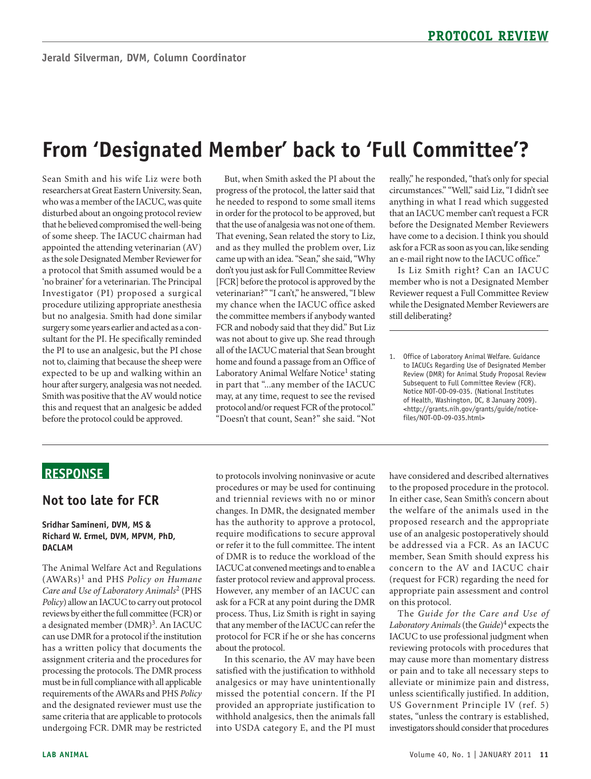# **From 'Designated Member' back to 'Full Committee'?**

 Sean Smith and his wife Liz were both researchers at Great Eastern University. Sean, who was a member of the IACUC, was quite disturbed about an ongoing protocol review that he believed compromised the well-being a protocol that Smith assumed would be a 'no brainer' for a veterinarian. The Principal Investigator (PI) proposed a surgical procedure utilizing appropriate anesthesia sultant for the PI. He specifically reminded expected to be up and walking within an hour after surgery, analgesia was not needed. Smith was positive that the AV would notice before the protocol could be approved. of some sheep. The IACUC chairman had appointed the attending veterinarian (AV) as the sole Designated Member Reviewer for but no analgesia. Smith had done similar surgery some years earlier and acted as a conthe PI to use an analgesic, but the PI chose not to, claiming that because the sheep were this and request that an analgesic be added

 But, when Smith asked the PI about the progress of the protocol, the latter said that in order for the protocol to be approved, but that the use of analgesia was not one of them. That evening, Sean related the story to Liz, veterinarian?" "I can't," he answered, "I blew the committee members if anybody wanted was not about to give up. She read through all of the IACUC material that Sean brought home and found a passage from an Office of "Doesn't that count, Sean?" she said. "Not he needed to respond to some small items and as they mulled the problem over, Liz came up with an idea. "Sean," she said, "Why don't you just ask for Full Committee Review [FCR] before the protocol is approved by the my chance when the IACUC office asked FCR and nobody said that they did." But Liz Laboratory Animal Welfare Notice<sup>1</sup> stating in part that "...any member of the IACUC may, at any time, request to see the revised protocol and/or request FCR of the protocol."

 really," he responded, "that's only for special circumstances." "Well," said Liz, "I didn't see anything in what I read which suggested ask for a FCR as soon as you can, like sending that an IACUC member can't request a FCR before the Designated Member Reviewers have come to a decision. I think you should an e-mail right now to the IACUC office."

 Reviewer request a Full Committee Review while the Designated Member Reviewers are Is Liz Smith right? Can an IACUC member who is not a Designated Member still deliberating?

1. Office of Laboratory Animal Welfare. Guidance to IACUCs Regarding Use of Designated Member Review (DMR) for Animal Study Proposal Review Subsequent to Full Committee Review (FCR). Notice NOT-OD-09-035. (National Institutes of Health, Washington, DC, 8 January 2009). <http://grants.nih.gov/grants/guide/noticefiles/NOT-OD-09-035.html>

## **ReSponSe**

### **not too late for FCR**

#### **Sridhar Samineni, DVM, MS & Richard W. ermel, DVM, MpVM, phD, DACLAM**

 The Animal Welfare Act and Regulations  (AWARs)1 and PHS *Policy on Humane Policy*) allow an IACUC to carry out protocol a designated member (DMR)<sup>3</sup>. An IACUC can use DMR for a protocol if the institution has a written policy that documents the must be in full compliance with all applicable and the designated reviewer must use the *Care and Use of Laboratory Animals*2 (PHS reviews by either the full committee (FCR) or assignment criteria and the procedures for processing the protocols. The DMR process requirements of the AWARs and PHS *Policy*  same criteria that are applicable to protocols undergoing FCR. DMR may be restricted

 to protocols involving noninvasive or acute procedures or may be used for continuing changes. In DMR, the designated member has the authority to approve a protocol, require modifications to secure approval or refer it to the full committee. The intent of DMR is to reduce the workload of the IACUC at convened meetings and to enable a faster protocol review and approval process. However, any member of an IACUC can process. Thus, Liz Smith is right in saying that any member of the IACUC can refer the about the protocol. and triennial reviews with no or minor ask for a FCR at any point during the DMR protocol for FCR if he or she has concerns

 satisfied with the justification to withhold missed the potential concern. If the PI withhold analgesics, then the animals fall into USDA category E, and the PI must In this scenario, the AV may have been analgesics or may have unintentionally provided an appropriate justification to

 to the proposed procedure in the protocol. In either case, Sean Smith's concern about the welfare of the animals used in the proposed research and the appropriate use of an analgesic postoperatively should concern to the AV and IACUC chair appropriate pain assessment and control have considered and described alternatives be addressed via a FCR. As an IACUC member, Sean Smith should express his (request for FCR) regarding the need for on this protocol.

 *Laboratory Animals* (the *Guide*) 4 expects the IACUC to use professional judgment when reviewing protocols with procedures that may cause more than momentary distress alleviate or minimize pain and distress, unless scientifically justified. In addition, states, "unless the contrary is established, investigators should consider that procedures The *Guide for the Care and Use of*  or pain and to take all necessary steps to US Government Principle IV (ref. 5)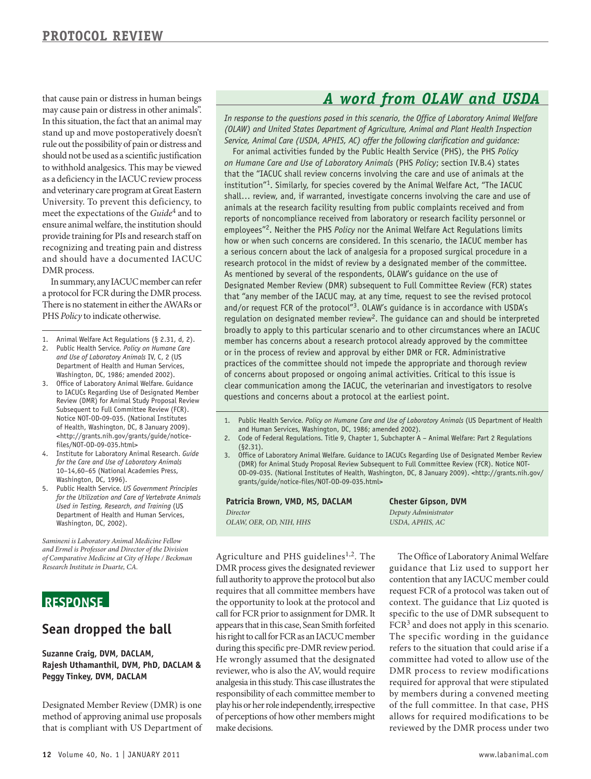may cause pain or distress in other animals". stand up and move postoperatively doesn't should not be used as a scientific justification as a deficiency in the IACUC review process University. To prevent this deficiency, to provide training for PIs and research staff on recognizing and treating pain and distress that cause pain or distress in human beings In this situation, the fact that an animal may rule out the possibility of pain or distress and to withhold analgesics. This may be viewed and veterinary care program at Great Eastern meet the expectations of the *Guide*4 and to ensure animal welfare, the institution should and should have a documented IACUC DMR process.

 a protocol for FCR during the DMR process. PHS *Policy* to indicate otherwise. In summary, any IACUC member can refer There is no statement in either the AWARs or

- 1. Animal Welfare Act Regulations (§ 2.31, d, 2).
- 2. Public Health Service. *Policy on Humane Care and Use of Laboratory Animals* IV, C, 2 (US Department of Health and Human Services, Washington, DC, 1986; amended 2002).
- 3. Office of Laboratory Animal Welfare. Guidance to IACUCs Regarding Use of Designated Member Review (DMR) for Animal Study Proposal Review Subsequent to Full Committee Review (FCR). Notice NOT-OD-09-035. (National Institutes of Health, Washington, DC, 8 January 2009). <http://grants.nih.gov/grants/guide/noticefiles/NOT-OD-09-035.html>
- 4. Institute for Laboratory Animal Research. *Guide for the Care and Use of Laboratory Animals*  10–14,60–65 (National Academies Press, Washington, DC, 1996).
- 5. Public Health Service. *US Government Principles for the Utilization and Care of Vertebrate Animals Used in Testing, Research, and Training* (US Department of Health and Human Services, Washington, DC, 2002).

*Samineni is Laboratory Animal Medicine Fellow and Ermel is Professor and Director of the Division of Comparative Medicine at City of Hope / Beckman Research Institute in Duarte, CA.* 

### **ReSponSe**

### **Sean dropped the ball**

#### **Suzanne Craig, DVM, DACLAM, Rajesh Uthamanthil, DVM, phD, DACLAM & peggy Tinkey, DVM, DACLAM**

 Designated Member Review (DMR) is one method of approving animal use proposals that is compliant with US Department of

# *A word from OLAW and USDA*

 *(OLAW) and United States Department of Agriculture, Animal and Plant Health Inspection In response to the questions posed in this scenario, the Office of Laboratory Animal Welfare Service, Animal Care (USDA, APHIS, AC) offer the following clarification and guidance:* 

regulation on designated member review<sup>2</sup>. The guidance can and should be interpreted For animal activities funded by the Public Health Service (PHS), the PHS *Policy on Humane Care and Use of Laboratory Animals* (PHS *Policy*; section IV.B.4) states that the "IACUC shall review concerns involving the care and use of animals at the institution"1. Similarly, for species covered by the Animal Welfare Act, "The IACUC shall… review, and, if warranted, investigate concerns involving the care and use of animals at the research facility resulting from public complaints received and from reports of noncompliance received from laboratory or research facility personnel or employees"2. Neither the PHS *Policy* nor the Animal Welfare Act Regulations limits how or when such concerns are considered. In this scenario, the IACUC member has a serious concern about the lack of analgesia for a proposed surgical procedure in a research protocol in the midst of review by a designated member of the committee. As mentioned by several of the respondents, OLAW's guidance on the use of Designated Member Review (DMR) subsequent to Full Committee Review (FCR) states that "any member of the IACUC may, at any time, request to see the revised protocol and/or request FCR of the protocol"<sup>3</sup>. OLAW's guidance is in accordance with USDA's broadly to apply to this particular scenario and to other circumstances where an IACUC member has concerns about a research protocol already approved by the committee or in the process of review and approval by either DMR or FCR. Administrative practices of the committee should not impede the appropriate and thorough review of concerns about proposed or ongoing animal activities. Critical to this issue is clear communication among the IACUC, the veterinarian and investigators to resolve questions and concerns about a protocol at the earliest point.

- 1. Public Health Service. *Policy on Humane Care and Use of Laboratory Animals* (US Department of Health and Human Services, Washington, DC, 1986; amended 2002).
- 2. Code of Federal Regulations. Title 9, Chapter 1, Subchapter A Animal Welfare: Part 2 Regulations (§2.31).
- 3. Office of Laboratory Animal Welfare. Guidance to IACUCs Regarding Use of Designated Member Review (DMR) for Animal Study Proposal Review Subsequent to Full Committee Review (FCR). Notice NOT-OD-09-035. (National Institutes of Health, Washington, DC, 8 January 2009). <http://grants.nih.gov/ grants/guide/notice-files/NOT-OD-09-035.html>

**patricia Brown, VMD, MS, DACLAM**  *Director OLAW, OER, OD, NIH, HHS* 

**Chester Gipson, DVM**  *Deputy Administrator USDA, APHIS, AC* 

 full authority to approve the protocol but also requires that all committee members have the opportunity to look at the protocol and call for FCR prior to assignment for DMR. It appears that in this case, Sean Smith forfeited his right to call for FCR as an IACUC member during this specific pre-DMR review period. reviewer, who is also the AV, would require analgesia in this study. This case illustrates the responsibility of each committee member to play his or her role independently, irrespective of perceptions of how other members might Agriculture and PHS guidelines<sup>1,2</sup>. The DMR process gives the designated reviewer He wrongly assumed that the designated make decisions.

 The Office of Laboratory Animal Welfare request FCR of a protocol was taken out of FCR<sup>3</sup> and does not apply in this scenario. The specific wording in the guidance refers to the situation that could arise if a committee had voted to allow use of the by members during a convened meeting of the full committee. In that case, PHS allows for required modifications to be guidance that Liz used to support her contention that any IACUC member could context. The guidance that Liz quoted is specific to the use of DMR subsequent to DMR process to review modifications required for approval that were stipulated reviewed by the DMR process under two